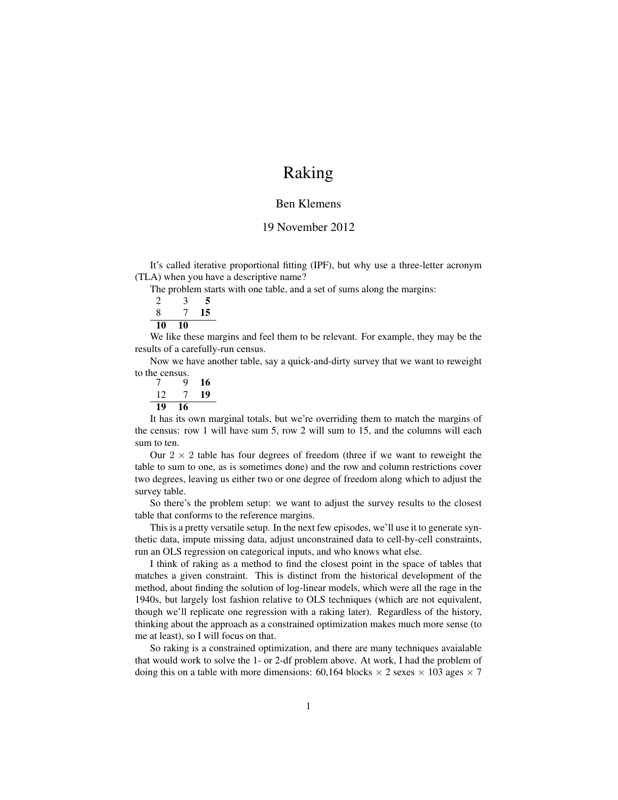## Raking

## Ben Klemens

## 19 November 2012

It's called iterative proportional fitting (IPF), but why use a three-letter acronym (TLA) when you have a descriptive name?

The problem starts with one table, and a set of sums along the margins:

We like these margins and feel them to be relevant. For example, they may be the results of a carefully-run census.

Now we have another table, say a quick-and-dirty survey that we want to reweight to the census.

|     |    | 16 |
|-----|----|----|
| 12. |    | 19 |
| 19  | 16 |    |

It has its own marginal totals, but we're overriding them to match the margins of the census: row 1 will have sum 5, row 2 will sum to 15, and the columns will each sum to ten.

Our  $2 \times 2$  table has four degrees of freedom (three if we want to reweight the table to sum to one, as is sometimes done) and the row and column restrictions cover two degrees, leaving us either two or one degree of freedom along which to adjust the survey table.

So there's the problem setup: we want to adjust the survey results to the closest table that conforms to the reference margins.

This is a pretty versatile setup. In the next few episodes, we'll use it to generate synthetic data, impute missing data, adjust unconstrained data to cell-by-cell constraints, run an OLS regression on categorical inputs, and who knows what else.

I think of raking as a method to find the closest point in the space of tables that matches a given constraint. This is distinct from the historical development of the method, about finding the solution of log-linear models, which were all the rage in the 1940s, but largely lost fashion relative to OLS techniques (which are not equivalent, though we'll replicate one regression with a raking later). Regardless of the history, thinking about the approach as a constrained optimization makes much more sense (to me at least), so I will focus on that.

So raking is a constrained optimization, and there are many techniques avaialable that would work to solve the 1- or 2-df problem above. At work, I had the problem of doing this on a table with more dimensions: 60,164 blocks  $\times$  2 sexes  $\times$  103 ages  $\times$  7

<sup>2 3</sup> 5

<sup>8 7</sup> 15

 $10 \t 10$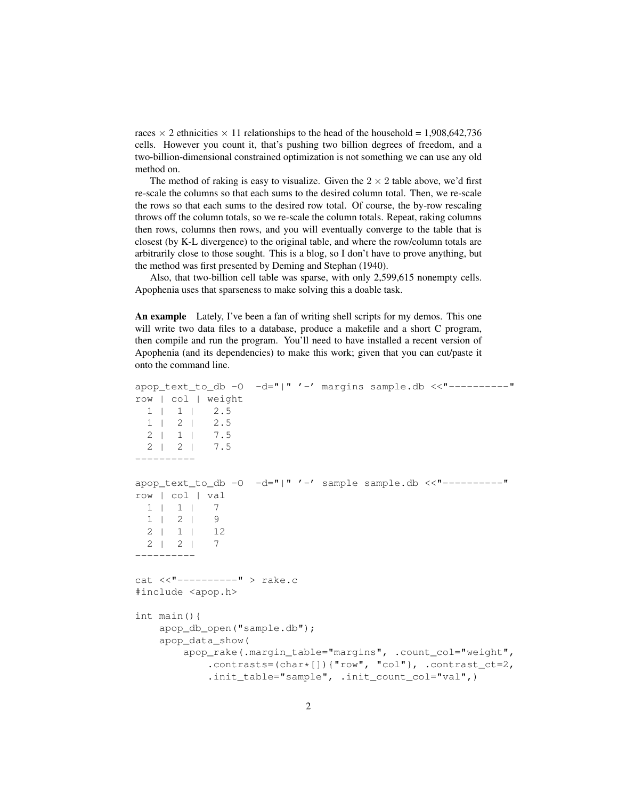races  $\times$  2 ethnicities  $\times$  11 relationships to the head of the household = 1,908,642,736 cells. However you count it, that's pushing two billion degrees of freedom, and a two-billion-dimensional constrained optimization is not something we can use any old method on.

The method of raking is easy to visualize. Given the  $2 \times 2$  table above, we'd first re-scale the columns so that each sums to the desired column total. Then, we re-scale the rows so that each sums to the desired row total. Of course, the by-row rescaling throws off the column totals, so we re-scale the column totals. Repeat, raking columns then rows, columns then rows, and you will eventually converge to the table that is closest (by K-L divergence) to the original table, and where the row/column totals are arbitrarily close to those sought. This is a blog, so I don't have to prove anything, but the method was first presented by Deming and Stephan (1940).

Also, that two-billion cell table was sparse, with only 2,599,615 nonempty cells. Apophenia uses that sparseness to make solving this a doable task.

An example Lately, I've been a fan of writing shell scripts for my demos. This one will write two data files to a database, produce a makefile and a short C program, then compile and run the program. You'll need to have installed a recent version of Apophenia (and its dependencies) to make this work; given that you can cut/paste it onto the command line.

```
apop text to db -0 -d="|" '-' margins sample.db <<"----------"
row | col | weight
 1 | 1 | 2.5
 1 | 2 | 2.5
 2 | 1 | 7.5
 2 | 2 | 7.5
----------
apop_text_to_db -0 -d="|" '-' sample sample.db <<"----------"
row | col | val
 1 | 1 | 7
 1 | 2 | 9
 2 | 1 | 12
 2 | 2 | 7
----------
cat <<"----------" > rake.c
#include <apop.h>
int main(){
   apop_db_open("sample.db");
   apop_data_show(
       apop_rake(.margin_table="margins", .count_col="weight",
            .contrasts=(char*[]){"row", "col"}, .contrast_ct=2,
            .init_table="sample", .init_count_col="val",)
```